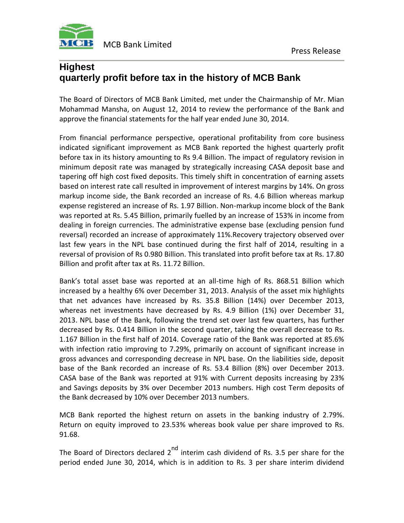

## **Highest quarterly profit before tax in the history of MCB Bank**

The Board of Directors of MCB Bank Limited, met under the Chairmanship of Mr. Mian Mohammad Mansha, on August 12, 2014 to review the performance of the Bank and approve the financial statements for the half year ended June 30, 2014.

From financial performance perspective, operational profitability from core business indicated significant improvement as MCB Bank reported the highest quarterly profit before tax in its history amounting to Rs 9.4 Billion. The impact of regulatory revision in minimum deposit rate was managed by strategically increasing CASA deposit base and tapering off high cost fixed deposits. This timely shift in concentration of earning assets based on interest rate call resulted in improvement of interest margins by 14%. On gross markup income side, the Bank recorded an increase of Rs. 4.6 Billion whereas markup expense registered an increase of Rs. 1.97 Billion. Non-markup income block of the Bank was reported at Rs. 5.45 Billion, primarily fuelled by an increase of 153% in income from dealing in foreign currencies. The administrative expense base (excluding pension fund reversal) recorded an increase of approximately 11%.Recovery trajectory observed over last few years in the NPL base continued during the first half of 2014, resulting in a reversal of provision of Rs 0.980 Billion. This translated into profit before tax at Rs. 17.80 Billion and profit after tax at Rs. 11.72 Billion.

Bank's total asset base was reported at an all-time high of Rs. 868.51 Billion which increased by a healthy 6% over December 31, 2013. Analysis of the asset mix highlights that net advances have increased by Rs. 35.8 Billion (14%) over December 2013, whereas net investments have decreased by Rs. 4.9 Billion (1%) over December 31, 2013. NPL base of the Bank, following the trend set over last few quarters, has further decreased by Rs. 0.414 Billion in the second quarter, taking the overall decrease to Rs. 1.167 Billion in the first half of 2014. Coverage ratio of the Bank was reported at 85.6% with infection ratio improving to 7.29%, primarily on account of significant increase in gross advances and corresponding decrease in NPL base. On the liabilities side, deposit base of the Bank recorded an increase of Rs. 53.4 Billion (8%) over December 2013. CASA base of the Bank was reported at 91% with Current deposits increasing by 23% and Savings deposits by 3% over December 2013 numbers. High cost Term deposits of the Bank decreased by 10% over December 2013 numbers.

MCB Bank reported the highest return on assets in the banking industry of 2.79%. Return on equity improved to 23.53% whereas book value per share improved to Rs. 91.68.

The Board of Directors declared  $2^{nd}$  interim cash dividend of Rs. 3.5 per share for the period ended June 30, 2014, which is in addition to Rs. 3 per share interim dividend